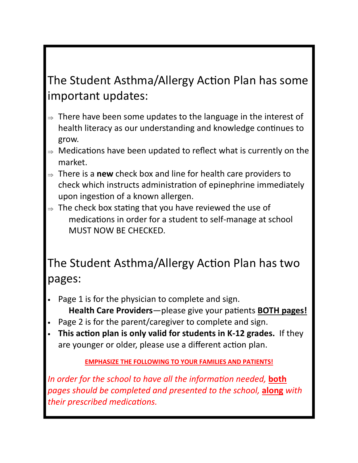## The Student Asthma/Allergy Action Plan has some important updates:

- $\Rightarrow$  There have been some updates to the language in the interest of health literacy as our understanding and knowledge continues to grow.
- $\Rightarrow$  Medications have been updated to reflect what is currently on the market.
- <sup>⇒</sup> There is a **new** check box and line for health care providers to check which instructs administration of epinephrine immediately upon ingestion of a known allergen.
- $\Rightarrow$  The check box stating that you have reviewed the use of medications in order for a student to self-manage at school MUST NOW BE CHECKED.

### The Student Asthma/Allergy Action Plan has two pages:

- Page 1 is for the physician to complete and sign. **Health Care Providers**—please give your patients **BOTH pages!**
- Page 2 is for the parent/caregiver to complete and sign.
- **This action plan is only valid for students in K-12 grades.** If they are younger or older, please use a different action plan.

#### **EMPHASIZE THE FOLLOWING TO YOUR FAMILIES AND PATIENTS!**

*In order for the school to have all the information needed, both pages should be completed and presented to the school,* **along** *with their prescribed medications.*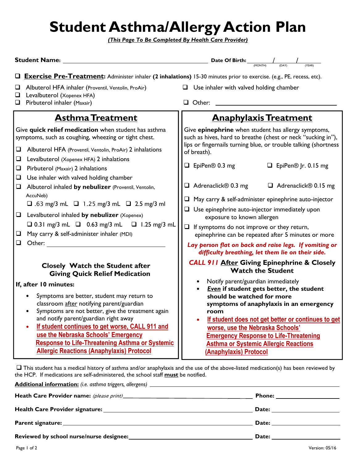# **Student Asthma/Allergy Action Plan**

*(This Page To Be Completed By Health Care Provider)*

| <b>Student Name:</b>                                                                                                                                                                                                                                                                                                                                                                          | Date Of Birth:<br>(MONTH)<br>(DAY)<br>(YEAR)                                                                                                                                                                                                                                                                                                          |  |  |  |
|-----------------------------------------------------------------------------------------------------------------------------------------------------------------------------------------------------------------------------------------------------------------------------------------------------------------------------------------------------------------------------------------------|-------------------------------------------------------------------------------------------------------------------------------------------------------------------------------------------------------------------------------------------------------------------------------------------------------------------------------------------------------|--|--|--|
| <b>Q</b> Exercise Pre-Treatment: Administer inhaler (2 inhalations) 15-30 minutes prior to exercise. (e.g., PE, recess, etc).                                                                                                                                                                                                                                                                 |                                                                                                                                                                                                                                                                                                                                                       |  |  |  |
| Albuterol HFA inhaler (Proventil, Ventolin, ProAir)<br>□<br>Levalbuterol (Xopenex HFA)<br>❏<br>Pirbuterol inhaler (Maxair)<br>❏                                                                                                                                                                                                                                                               | Use inhaler with valved holding chamber<br>$\Box$<br>Other:                                                                                                                                                                                                                                                                                           |  |  |  |
|                                                                                                                                                                                                                                                                                                                                                                                               |                                                                                                                                                                                                                                                                                                                                                       |  |  |  |
| <b>Asthma Treatment</b>                                                                                                                                                                                                                                                                                                                                                                       | <b>Anaphylaxis Treatment</b>                                                                                                                                                                                                                                                                                                                          |  |  |  |
| Give quick relief medication when student has asthma<br>symptoms, such as coughing, wheezing or tight chest.                                                                                                                                                                                                                                                                                  | Give epinephrine when student has allergy symptoms,<br>such as hives, hard to breathe (chest or neck "sucking in"),<br>lips or fingernails turning blue, or trouble talking (shortness<br>of breath).                                                                                                                                                 |  |  |  |
| Albuterol HFA (Proventil, Ventolin, ProAir) 2 inhalations<br>⊔<br>❏<br>Levalbuterol (Xopenex HFA) 2 inhalations                                                                                                                                                                                                                                                                               |                                                                                                                                                                                                                                                                                                                                                       |  |  |  |
| Pirbuterol (Maxair) 2 inhalations<br>$\Box$                                                                                                                                                                                                                                                                                                                                                   | □ EpiPen® 0.3 mg<br>$\Box$ EpiPen® Jr. 0.15 mg                                                                                                                                                                                                                                                                                                        |  |  |  |
| Use inhaler with valved holding chamber<br>⊔<br>Albuterol inhaled by nebulizer (Proventil, Ventolin,<br>$\Box$                                                                                                                                                                                                                                                                                | $\Box$ Adrenaclick® 0.3 mg<br>$\Box$ Adrenaclick® 0.15 mg                                                                                                                                                                                                                                                                                             |  |  |  |
| AccuNeb)<br>$\Box$ .63 mg/3 mL $\Box$ 1.25 mg/3 mL $\Box$ 2.5 mg/3 ml                                                                                                                                                                                                                                                                                                                         | $\Box$ May carry & self-administer epinephrine auto-injector                                                                                                                                                                                                                                                                                          |  |  |  |
| Levalbuterol inhaled by nebulizer (Xopenex)<br>$\Box$                                                                                                                                                                                                                                                                                                                                         | $\Box$ Use epinephrine auto-injector immediately upon<br>exposure to known allergen<br>$\Box$ If symptoms do not improve or they return,<br>epinephrine can be repeated after 5 minutes or more                                                                                                                                                       |  |  |  |
| $\Box$ 0.31 mg/3 mL $\Box$ 0.63 mg/3 mL $\Box$ 1.25 mg/3 mL<br>May carry & self-administer inhaler (MDI)<br>⊔                                                                                                                                                                                                                                                                                 |                                                                                                                                                                                                                                                                                                                                                       |  |  |  |
| Other:<br>❏                                                                                                                                                                                                                                                                                                                                                                                   | Lay person flat on back and raise legs. If vomiting or<br>difficulty breathing, let them lie on their side.                                                                                                                                                                                                                                           |  |  |  |
| <b>Closely Watch the Student after</b><br><b>Giving Quick Relief Medication</b>                                                                                                                                                                                                                                                                                                               | <b>CALL 911 After Giving Epinephrine &amp; Closely</b><br><b>Watch the Student</b>                                                                                                                                                                                                                                                                    |  |  |  |
| If, after 10 minutes:                                                                                                                                                                                                                                                                                                                                                                         | Notify parent/guardian immediately                                                                                                                                                                                                                                                                                                                    |  |  |  |
| Symptoms are better, student may return to<br>classroom after notifying parent/guardian<br>Symptoms are not better, give the treatment again<br>and notify parent/guardian right away<br>If student continues to get worse, CALL 911 and<br>use the Nebraska Schools' Emergency<br><b>Response to Life-Threatening Asthma or Systemic</b><br><b>Allergic Reactions (Anaphylaxis) Protocol</b> | <b>Even</b> if student gets better, the student<br>should be watched for more<br>symptoms of anaphylaxis in an emergency<br>room<br>If student does not get better or continues to get<br>worse, use the Nebraska Schools'<br><b>Emergency Response to Life-Threatening</b><br><b>Asthma or Systemic Allergic Reactions</b><br>(Anaphylaxis) Protocol |  |  |  |

 This student has a medical history of asthma and/or anaphylaxis and the use of the above-listed medication(s) has been reviewed by the HCP. If medications are self-administered, the school staff **must** be notified.

| Phone: ___________________                                                                                                                                                                                                     |
|--------------------------------------------------------------------------------------------------------------------------------------------------------------------------------------------------------------------------------|
|                                                                                                                                                                                                                                |
|                                                                                                                                                                                                                                |
| Date: the contract of the contract of the contract of the contract of the contract of the contract of the contract of the contract of the contract of the contract of the contract of the contract of the contract of the cont |